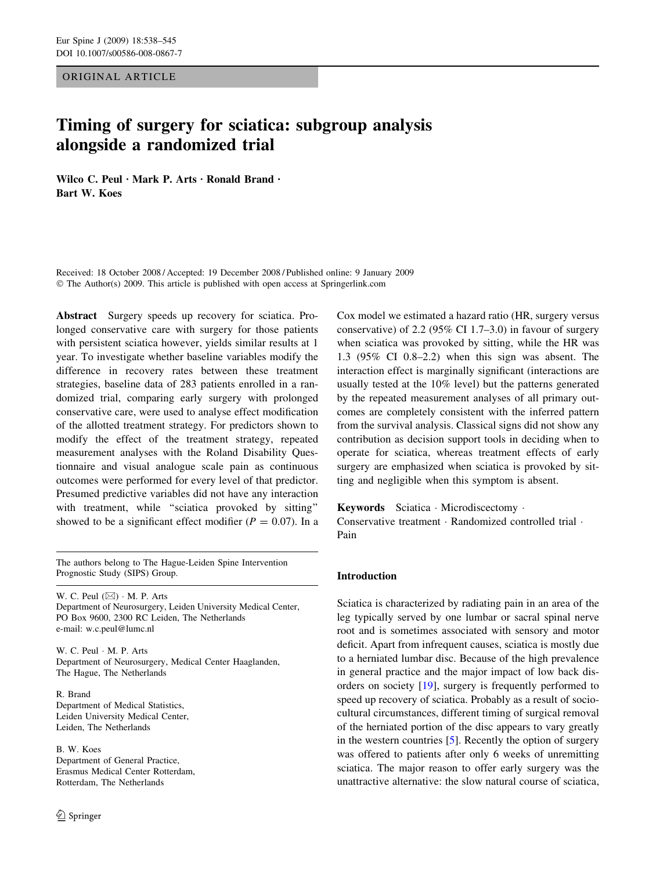ORIGINAL ARTICLE

# Timing of surgery for sciatica: subgroup analysis alongside a randomized trial

Wilco C. Peul  $\cdot$  Mark P. Arts  $\cdot$  Ronald Brand  $\cdot$ Bart W. Koes

Received: 18 October 2008 / Accepted: 19 December 2008 / Published online: 9 January 2009  $\odot$  The Author(s) 2009. This article is published with open access at Springerlink.com

Abstract Surgery speeds up recovery for sciatica. Prolonged conservative care with surgery for those patients with persistent sciatica however, yields similar results at 1 year. To investigate whether baseline variables modify the difference in recovery rates between these treatment strategies, baseline data of 283 patients enrolled in a randomized trial, comparing early surgery with prolonged conservative care, were used to analyse effect modification of the allotted treatment strategy. For predictors shown to modify the effect of the treatment strategy, repeated measurement analyses with the Roland Disability Questionnaire and visual analogue scale pain as continuous outcomes were performed for every level of that predictor. Presumed predictive variables did not have any interaction with treatment, while "sciatica provoked by sitting" showed to be a significant effect modifier ( $P = 0.07$ ). In a

The authors belong to The Hague-Leiden Spine Intervention Prognostic Study (SIPS) Group.

W. C. Peul  $(\boxtimes) \cdot$  M. P. Arts Department of Neurosurgery, Leiden University Medical Center, PO Box 9600, 2300 RC Leiden, The Netherlands e-mail: w.c.peul@lumc.nl

W. C. Peul  $\cdot$  M. P. Arts Department of Neurosurgery, Medical Center Haaglanden, The Hague, The Netherlands

R. Brand Department of Medical Statistics, Leiden University Medical Center, Leiden, The Netherlands

B. W. Koes Department of General Practice, Erasmus Medical Center Rotterdam, Rotterdam, The Netherlands

Cox model we estimated a hazard ratio (HR, surgery versus conservative) of 2.2 (95% CI 1.7–3.0) in favour of surgery when sciatica was provoked by sitting, while the HR was 1.3 (95% CI 0.8–2.2) when this sign was absent. The interaction effect is marginally significant (interactions are usually tested at the 10% level) but the patterns generated by the repeated measurement analyses of all primary outcomes are completely consistent with the inferred pattern from the survival analysis. Classical signs did not show any contribution as decision support tools in deciding when to operate for sciatica, whereas treatment effects of early surgery are emphasized when sciatica is provoked by sitting and negligible when this symptom is absent.

Keywords Sciatica Microdiscectomy ·

Conservative treatment · Randomized controlled trial · Pain

## Introduction

Sciatica is characterized by radiating pain in an area of the leg typically served by one lumbar or sacral spinal nerve root and is sometimes associated with sensory and motor deficit. Apart from infrequent causes, sciatica is mostly due to a herniated lumbar disc. Because of the high prevalence in general practice and the major impact of low back disorders on society [\[19](#page-7-0)], surgery is frequently performed to speed up recovery of sciatica. Probably as a result of sociocultural circumstances, different timing of surgical removal of the herniated portion of the disc appears to vary greatly in the western countries [\[5](#page-7-0)]. Recently the option of surgery was offered to patients after only 6 weeks of unremitting sciatica. The major reason to offer early surgery was the unattractive alternative: the slow natural course of sciatica,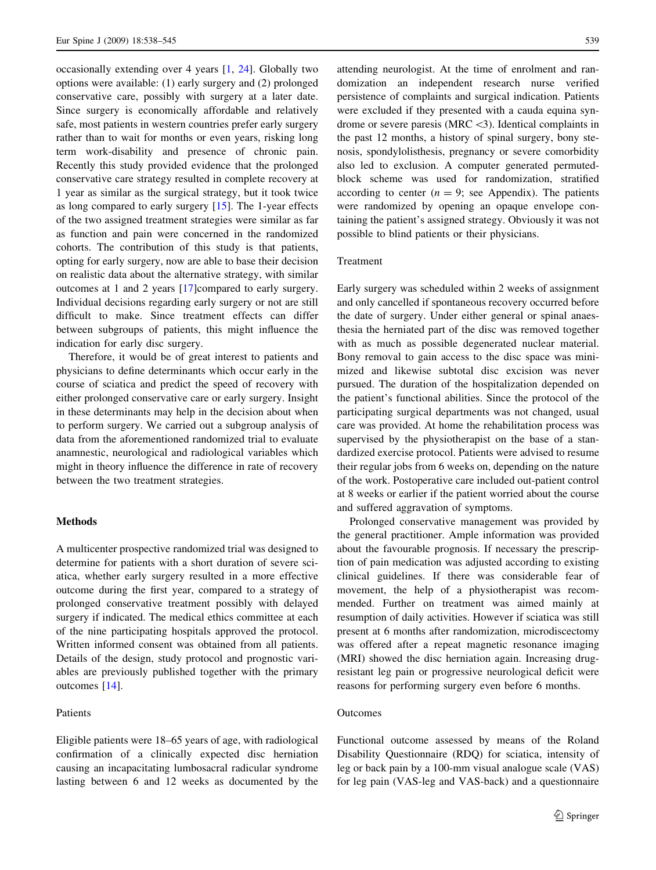occasionally extending over 4 years [\[1](#page-7-0), [24](#page-7-0)]. Globally two options were available: (1) early surgery and (2) prolonged conservative care, possibly with surgery at a later date. Since surgery is economically affordable and relatively safe, most patients in western countries prefer early surgery rather than to wait for months or even years, risking long term work-disability and presence of chronic pain. Recently this study provided evidence that the prolonged conservative care strategy resulted in complete recovery at 1 year as similar as the surgical strategy, but it took twice as long compared to early surgery [\[15](#page-7-0)]. The 1-year effects of the two assigned treatment strategies were similar as far as function and pain were concerned in the randomized cohorts. The contribution of this study is that patients, opting for early surgery, now are able to base their decision on realistic data about the alternative strategy, with similar outcomes at 1 and 2 years [[17\]](#page-7-0)compared to early surgery. Individual decisions regarding early surgery or not are still difficult to make. Since treatment effects can differ between subgroups of patients, this might influence the indication for early disc surgery.

Therefore, it would be of great interest to patients and physicians to define determinants which occur early in the course of sciatica and predict the speed of recovery with either prolonged conservative care or early surgery. Insight in these determinants may help in the decision about when to perform surgery. We carried out a subgroup analysis of data from the aforementioned randomized trial to evaluate anamnestic, neurological and radiological variables which might in theory influence the difference in rate of recovery between the two treatment strategies.

## Methods

A multicenter prospective randomized trial was designed to determine for patients with a short duration of severe sciatica, whether early surgery resulted in a more effective outcome during the first year, compared to a strategy of prolonged conservative treatment possibly with delayed surgery if indicated. The medical ethics committee at each of the nine participating hospitals approved the protocol. Written informed consent was obtained from all patients. Details of the design, study protocol and prognostic variables are previously published together with the primary outcomes [\[14](#page-7-0)].

# Patients

Eligible patients were 18–65 years of age, with radiological confirmation of a clinically expected disc herniation causing an incapacitating lumbosacral radicular syndrome lasting between 6 and 12 weeks as documented by the attending neurologist. At the time of enrolment and randomization an independent research nurse verified persistence of complaints and surgical indication. Patients were excluded if they presented with a cauda equina syndrome or severe paresis (MRC $\lt$ 3). Identical complaints in the past 12 months, a history of spinal surgery, bony stenosis, spondylolisthesis, pregnancy or severe comorbidity also led to exclusion. A computer generated permutedblock scheme was used for randomization, stratified according to center  $(n = 9)$ ; see Appendix). The patients were randomized by opening an opaque envelope containing the patient's assigned strategy. Obviously it was not possible to blind patients or their physicians.

# Treatment

Early surgery was scheduled within 2 weeks of assignment and only cancelled if spontaneous recovery occurred before the date of surgery. Under either general or spinal anaesthesia the herniated part of the disc was removed together with as much as possible degenerated nuclear material. Bony removal to gain access to the disc space was minimized and likewise subtotal disc excision was never pursued. The duration of the hospitalization depended on the patient's functional abilities. Since the protocol of the participating surgical departments was not changed, usual care was provided. At home the rehabilitation process was supervised by the physiotherapist on the base of a standardized exercise protocol. Patients were advised to resume their regular jobs from 6 weeks on, depending on the nature of the work. Postoperative care included out-patient control at 8 weeks or earlier if the patient worried about the course and suffered aggravation of symptoms.

Prolonged conservative management was provided by the general practitioner. Ample information was provided about the favourable prognosis. If necessary the prescription of pain medication was adjusted according to existing clinical guidelines. If there was considerable fear of movement, the help of a physiotherapist was recommended. Further on treatment was aimed mainly at resumption of daily activities. However if sciatica was still present at 6 months after randomization, microdiscectomy was offered after a repeat magnetic resonance imaging (MRI) showed the disc herniation again. Increasing drugresistant leg pain or progressive neurological deficit were reasons for performing surgery even before 6 months.

# Outcomes

Functional outcome assessed by means of the Roland Disability Questionnaire (RDQ) for sciatica, intensity of leg or back pain by a 100-mm visual analogue scale (VAS) for leg pain (VAS-leg and VAS-back) and a questionnaire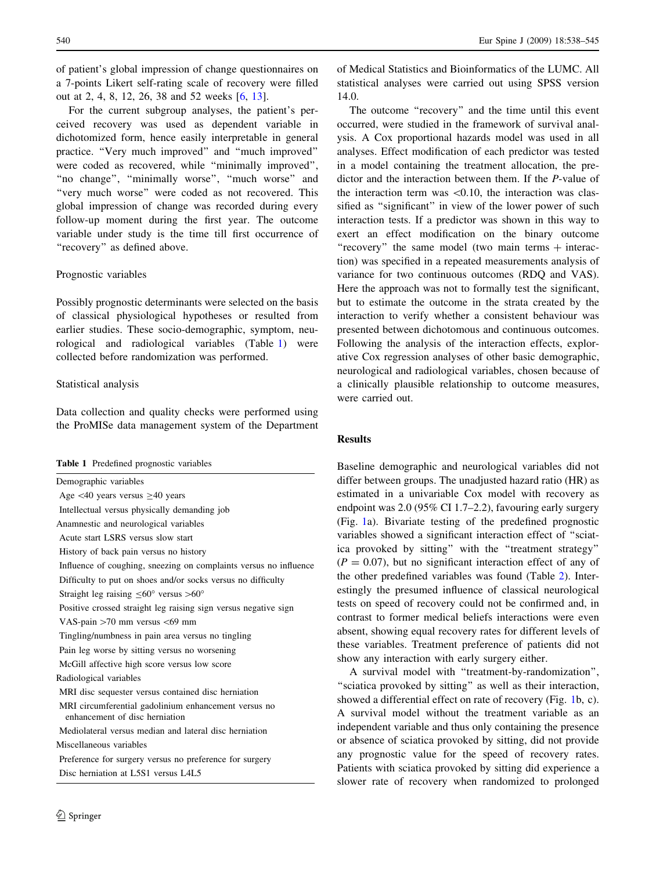of patient's global impression of change questionnaires on a 7-points Likert self-rating scale of recovery were filled out at 2, 4, 8, 12, 26, 38 and 52 weeks [[6,](#page-7-0) [13\]](#page-7-0).

For the current subgroup analyses, the patient's perceived recovery was used as dependent variable in dichotomized form, hence easily interpretable in general practice. ''Very much improved'' and ''much improved'' were coded as recovered, while ''minimally improved'', "no change", "minimally worse", "much worse" and "very much worse" were coded as not recovered. This global impression of change was recorded during every follow-up moment during the first year. The outcome variable under study is the time till first occurrence of "recovery" as defined above.

# Prognostic variables

Possibly prognostic determinants were selected on the basis of classical physiological hypotheses or resulted from earlier studies. These socio-demographic, symptom, neurological and radiological variables (Table 1) were collected before randomization was performed.

#### Statistical analysis

Data collection and quality checks were performed using the ProMISe data management system of the Department

Table 1 Predefined prognostic variables

| Demographic variables                                                                  |
|----------------------------------------------------------------------------------------|
| Age $\leq 40$ years versus $\geq 40$ years                                             |
| Intellectual versus physically demanding job                                           |
| Anamnestic and neurological variables                                                  |
| Acute start LSRS versus slow start                                                     |
| History of back pain versus no history                                                 |
| Influence of coughing, sneezing on complaints versus no influence                      |
| Difficulty to put on shoes and/or socks versus no difficulty                           |
| Straight leg raising $\leq 60^{\circ}$ versus $> 60^{\circ}$                           |
| Positive crossed straight leg raising sign versus negative sign                        |
| VAS-pain $>70$ mm versus $<$ 69 mm                                                     |
| Tingling/numbness in pain area versus no tingling                                      |
| Pain leg worse by sitting versus no worsening                                          |
| McGill affective high score versus low score                                           |
| Radiological variables                                                                 |
| MRI disc sequester versus contained disc herniation                                    |
| MRI circumferential gadolinium enhancement versus no<br>enhancement of disc herniation |
| Mediolateral versus median and lateral disc herniation                                 |
| Miscellaneous variables                                                                |
| Preference for surgery versus no preference for surgery                                |
| Disc herniation at L5S1 versus L4L5                                                    |
|                                                                                        |

of Medical Statistics and Bioinformatics of the LUMC. All statistical analyses were carried out using SPSS version 14.0.

The outcome "recovery" and the time until this event occurred, were studied in the framework of survival analysis. A Cox proportional hazards model was used in all analyses. Effect modification of each predictor was tested in a model containing the treatment allocation, the predictor and the interaction between them. If the P-value of the interaction term was  $\langle 0.10 \rangle$ , the interaction was classified as "significant" in view of the lower power of such interaction tests. If a predictor was shown in this way to exert an effect modification on the binary outcome "recovery" the same model (two main terms  $+$  interaction) was specified in a repeated measurements analysis of variance for two continuous outcomes (RDQ and VAS). Here the approach was not to formally test the significant, but to estimate the outcome in the strata created by the interaction to verify whether a consistent behaviour was presented between dichotomous and continuous outcomes. Following the analysis of the interaction effects, explorative Cox regression analyses of other basic demographic, neurological and radiological variables, chosen because of a clinically plausible relationship to outcome measures, were carried out.

# Results

Baseline demographic and neurological variables did not differ between groups. The unadjusted hazard ratio (HR) as estimated in a univariable Cox model with recovery as endpoint was 2.0 (95% CI 1.7–2.2), favouring early surgery (Fig. [1a](#page-3-0)). Bivariate testing of the predefined prognostic variables showed a significant interaction effect of ''sciatica provoked by sitting'' with the ''treatment strategy''  $(P = 0.07)$ , but no significant interaction effect of any of the other predefined variables was found (Table [2\)](#page-4-0). Interestingly the presumed influence of classical neurological tests on speed of recovery could not be confirmed and, in contrast to former medical beliefs interactions were even absent, showing equal recovery rates for different levels of these variables. Treatment preference of patients did not show any interaction with early surgery either.

A survival model with ''treatment-by-randomization'', "sciatica provoked by sitting" as well as their interaction, showed a differential effect on rate of recovery (Fig. [1](#page-3-0)b, c). A survival model without the treatment variable as an independent variable and thus only containing the presence or absence of sciatica provoked by sitting, did not provide any prognostic value for the speed of recovery rates. Patients with sciatica provoked by sitting did experience a slower rate of recovery when randomized to prolonged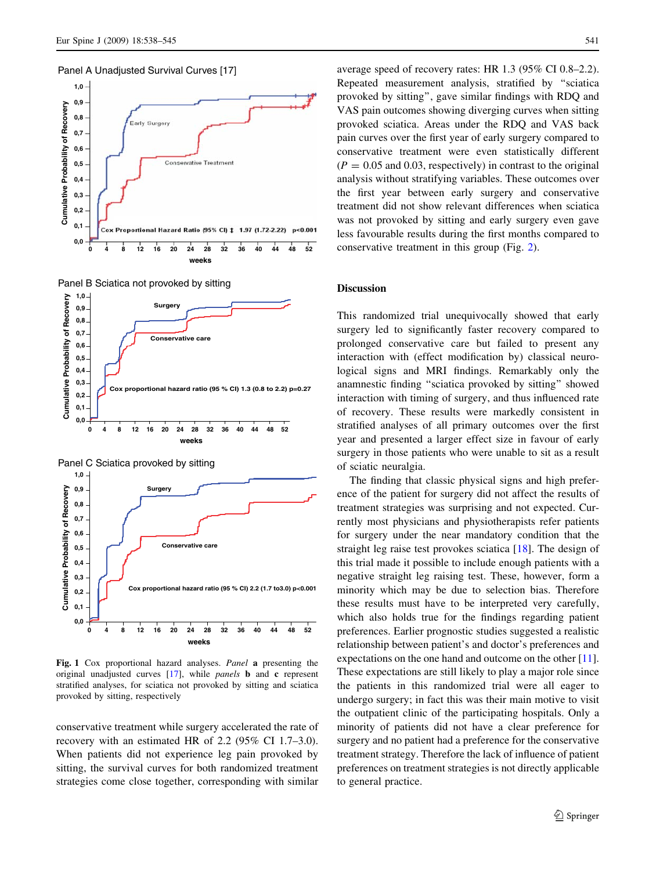#### <span id="page-3-0"></span>Panel A Unadjusted Survival Curves [17]



Panel B Sciatica not provoked by sitting



Panel C Sciatica provoked by sitting



Fig. 1 Cox proportional hazard analyses. Panel a presenting the original unadjusted curves [[17](#page-7-0)], while panels b and c represent stratified analyses, for sciatica not provoked by sitting and sciatica provoked by sitting, respectively

conservative treatment while surgery accelerated the rate of recovery with an estimated HR of 2.2 (95% CI 1.7–3.0). When patients did not experience leg pain provoked by sitting, the survival curves for both randomized treatment strategies come close together, corresponding with similar

average speed of recovery rates: HR 1.3 (95% CI 0.8–2.2). Repeated measurement analysis, stratified by ''sciatica provoked by sitting'', gave similar findings with RDQ and VAS pain outcomes showing diverging curves when sitting provoked sciatica. Areas under the RDQ and VAS back pain curves over the first year of early surgery compared to conservative treatment were even statistically different  $(P = 0.05$  and 0.03, respectively) in contrast to the original analysis without stratifying variables. These outcomes over the first year between early surgery and conservative treatment did not show relevant differences when sciatica was not provoked by sitting and early surgery even gave less favourable results during the first months compared to conservative treatment in this group (Fig. [2](#page-5-0)).

## Discussion

This randomized trial unequivocally showed that early surgery led to significantly faster recovery compared to prolonged conservative care but failed to present any interaction with (effect modification by) classical neurological signs and MRI findings. Remarkably only the anamnestic finding ''sciatica provoked by sitting'' showed interaction with timing of surgery, and thus influenced rate of recovery. These results were markedly consistent in stratified analyses of all primary outcomes over the first year and presented a larger effect size in favour of early surgery in those patients who were unable to sit as a result of sciatic neuralgia.

The finding that classic physical signs and high preference of the patient for surgery did not affect the results of treatment strategies was surprising and not expected. Currently most physicians and physiotherapists refer patients for surgery under the near mandatory condition that the straight leg raise test provokes sciatica [\[18](#page-7-0)]. The design of this trial made it possible to include enough patients with a negative straight leg raising test. These, however, form a minority which may be due to selection bias. Therefore these results must have to be interpreted very carefully, which also holds true for the findings regarding patient preferences. Earlier prognostic studies suggested a realistic relationship between patient's and doctor's preferences and expectations on the one hand and outcome on the other [\[11](#page-7-0)]. These expectations are still likely to play a major role since the patients in this randomized trial were all eager to undergo surgery; in fact this was their main motive to visit the outpatient clinic of the participating hospitals. Only a minority of patients did not have a clear preference for surgery and no patient had a preference for the conservative treatment strategy. Therefore the lack of influence of patient preferences on treatment strategies is not directly applicable to general practice.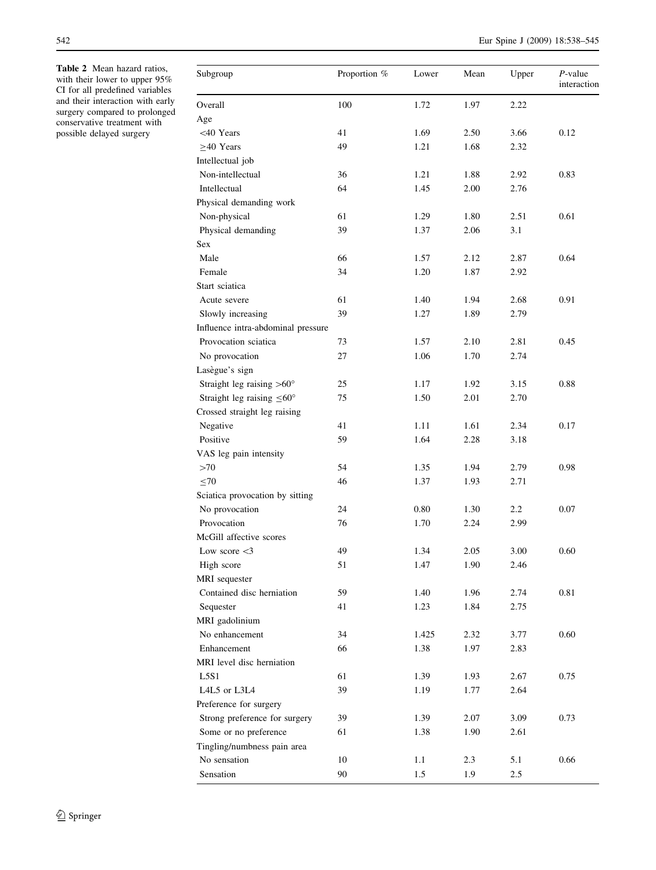<span id="page-4-0"></span>Table 2 Mean hazard ratios, with their lower to upper 95% CI for all predefined variables and their interaction with early surgery compared to prolonged conservative treatment with possible delayed surgery

| Subgroup                             | Proportion % | Lower | Mean | Upper | P-value<br>interaction |
|--------------------------------------|--------------|-------|------|-------|------------------------|
| Overall                              | 100          | 1.72  | 1.97 | 2.22  |                        |
| Age                                  |              |       |      |       |                        |
| <40 Years                            | 41           | 1.69  | 2.50 | 3.66  | 0.12                   |
| $\geq$ 40 Years                      | 49           | 1.21  | 1.68 | 2.32  |                        |
| Intellectual job                     |              |       |      |       |                        |
| Non-intellectual                     | 36           | 1.21  | 1.88 | 2.92  | 0.83                   |
| Intellectual                         | 64           | 1.45  | 2.00 | 2.76  |                        |
| Physical demanding work              |              |       |      |       |                        |
| Non-physical                         | 61           | 1.29  | 1.80 | 2.51  | 0.61                   |
| Physical demanding                   | 39           | 1.37  | 2.06 | 3.1   |                        |
| Sex                                  |              |       |      |       |                        |
| Male                                 | 66           | 1.57  | 2.12 | 2.87  | 0.64                   |
| Female                               | 34           | 1.20  | 1.87 | 2.92  |                        |
| Start sciatica                       |              |       |      |       |                        |
| Acute severe                         | 61           | 1.40  | 1.94 | 2.68  | 0.91                   |
| Slowly increasing                    | 39           | 1.27  | 1.89 | 2.79  |                        |
| Influence intra-abdominal pressure   |              |       |      |       |                        |
| Provocation sciatica                 | 73           | 1.57  | 2.10 | 2.81  | 0.45                   |
| No provocation                       | 27           | 1.06  | 1.70 | 2.74  |                        |
| Lasègue's sign                       |              |       |      |       |                        |
| Straight leg raising $>60^\circ$     | 25           | 1.17  | 1.92 | 3.15  | 0.88                   |
| Straight leg raising $\leq 60^\circ$ | 75           | 1.50  | 2.01 | 2.70  |                        |
| Crossed straight leg raising         |              |       |      |       |                        |
| Negative                             | 41           | 1.11  | 1.61 | 2.34  | 0.17                   |
| Positive                             | 59           | 1.64  | 2.28 | 3.18  |                        |
| VAS leg pain intensity               |              |       |      |       |                        |
| >70                                  | 54           | 1.35  | 1.94 | 2.79  | 0.98                   |
| $\leq 70$                            | 46           | 1.37  | 1.93 | 2.71  |                        |
| Sciatica provocation by sitting      |              |       |      |       |                        |
| No provocation                       | 24           | 0.80  | 1.30 | 2.2   | 0.07                   |
| Provocation                          | 76           | 1.70  | 2.24 | 2.99  |                        |
| McGill affective scores              |              |       |      |       |                        |
| Low score $<$ 3                      | 49           | 1.34  | 2.05 | 3.00  | 0.60                   |
| High score                           | 51           | 1.47  | 1.90 | 2.46  |                        |
| MRI sequester                        |              |       |      |       |                        |
| Contained disc herniation            | 59           | 1.40  | 1.96 | 2.74  | 0.81                   |
| Sequester                            | 41           | 1.23  | 1.84 | 2.75  |                        |
| MRI gadolinium                       |              |       |      |       |                        |
| No enhancement                       | 34           | 1.425 | 2.32 | 3.77  | 0.60                   |
| Enhancement                          | 66           | 1.38  | 1.97 | 2.83  |                        |
| MRI level disc herniation            |              |       |      |       |                        |
| L5S1                                 | 61           | 1.39  | 1.93 | 2.67  | 0.75                   |
| L4L5 or L3L4                         | 39           | 1.19  | 1.77 | 2.64  |                        |
| Preference for surgery               |              |       |      |       |                        |
| Strong preference for surgery        | 39           | 1.39  | 2.07 | 3.09  | 0.73                   |
| Some or no preference                | 61           | 1.38  | 1.90 | 2.61  |                        |
| Tingling/numbness pain area          |              |       |      |       |                        |
| No sensation                         | 10           | 1.1   | 2.3  | 5.1   | 0.66                   |
| Sensation                            | 90           | 1.5   | 1.9  | 2.5   |                        |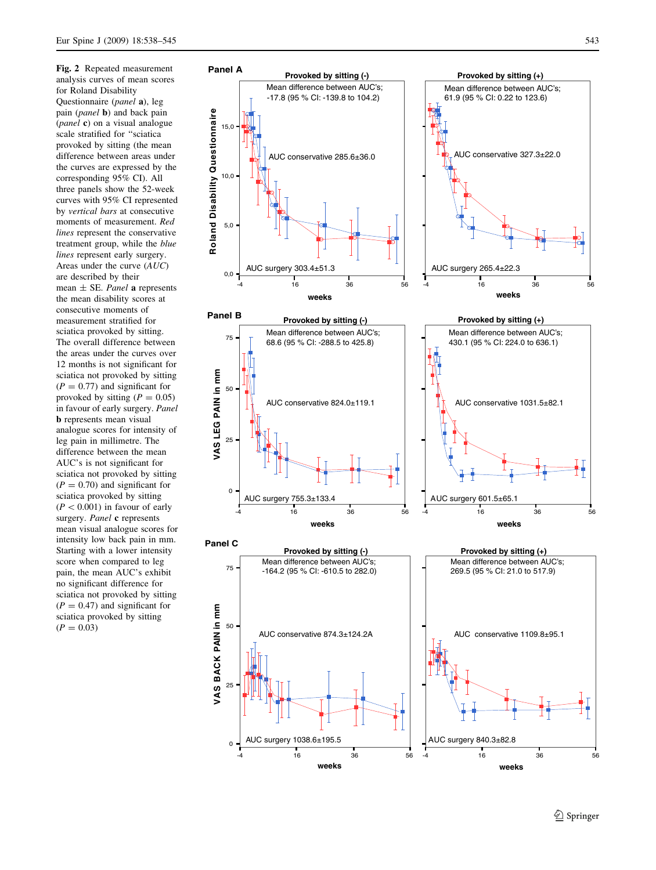<span id="page-5-0"></span>Fig. 2 Repeated measurement analysis curves of mean scores for Roland Disability Questionnaire (panel a), leg pain (panel b) and back pain (panel c) on a visual analogue scale stratified for ''sciatica provoked by sitting (the mean difference between areas under the curves are expressed by the corresponding 95% CI). All three panels show the 52-week curves with 95% CI represented by vertical bars at consecutive moments of measurement. Red lines represent the conservative treatment group, while the blue lines represent early surgery. Areas under the curve  $(AUC)$ are described by their mean  $\pm$  SE. Panel **a** represents the mean disability scores at consecutive moments of measurement stratified for sciatica provoked by sitting. The overall difference between the areas under the curves over 12 months is not significant for sciatica not provoked by sitting  $(P = 0.77)$  and significant for provoked by sitting  $(P = 0.05)$ in favour of early surgery. Panel b represents mean visual analogue scores for intensity of leg pain in millimetre. The difference between the mean AUC's is not significant for sciatica not provoked by sitting  $(P = 0.70)$  and significant for sciatica provoked by sitting  $(P<0.001)$  in favour of early surgery. Panel c represents mean visual analogue scores for intensity low back pain in mm. Starting with a lower intensity score when compared to leg pain, the mean AUC's exhibit no significant difference for sciatica not provoked by sitting  $(P = 0.47)$  and significant for sciatica provoked by sitting  $(P = 0.03)$ 

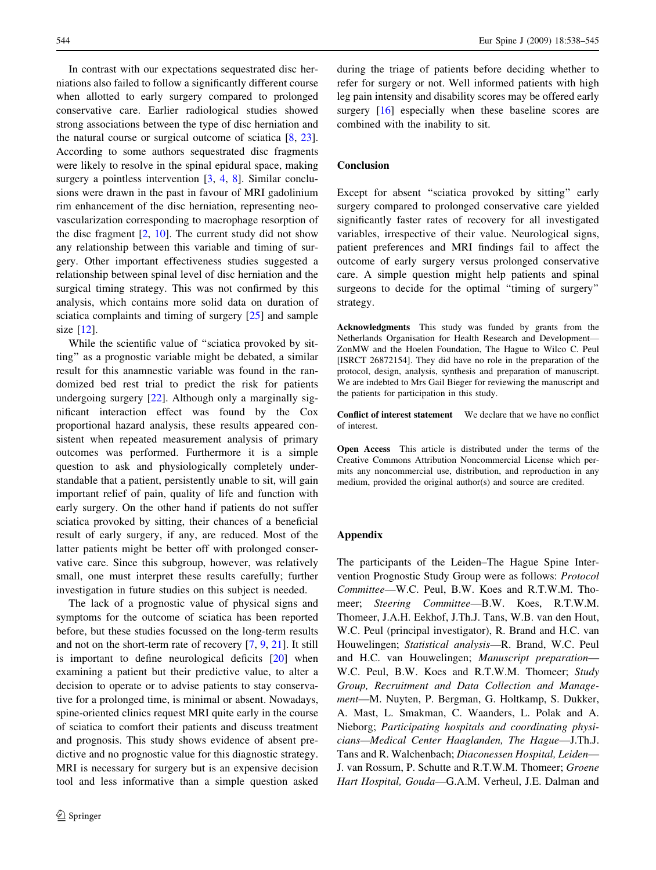In contrast with our expectations sequestrated disc herniations also failed to follow a significantly different course when allotted to early surgery compared to prolonged conservative care. Earlier radiological studies showed strong associations between the type of disc herniation and the natural course or surgical outcome of sciatica [\[8](#page-7-0), [23](#page-7-0)]. According to some authors sequestrated disc fragments were likely to resolve in the spinal epidural space, making surgery a pointless intervention  $[3, 4, 8]$  $[3, 4, 8]$  $[3, 4, 8]$  $[3, 4, 8]$  $[3, 4, 8]$ . Similar conclusions were drawn in the past in favour of MRI gadolinium rim enhancement of the disc herniation, representing neovascularization corresponding to macrophage resorption of the disc fragment  $[2, 10]$  $[2, 10]$  $[2, 10]$  $[2, 10]$ . The current study did not show any relationship between this variable and timing of surgery. Other important effectiveness studies suggested a relationship between spinal level of disc herniation and the surgical timing strategy. This was not confirmed by this analysis, which contains more solid data on duration of sciatica complaints and timing of surgery [[25\]](#page-7-0) and sample size [\[12](#page-7-0)].

While the scientific value of ''sciatica provoked by sitting'' as a prognostic variable might be debated, a similar result for this anamnestic variable was found in the randomized bed rest trial to predict the risk for patients undergoing surgery [[22](#page-7-0)]. Although only a marginally significant interaction effect was found by the Cox proportional hazard analysis, these results appeared consistent when repeated measurement analysis of primary outcomes was performed. Furthermore it is a simple question to ask and physiologically completely understandable that a patient, persistently unable to sit, will gain important relief of pain, quality of life and function with early surgery. On the other hand if patients do not suffer sciatica provoked by sitting, their chances of a beneficial result of early surgery, if any, are reduced. Most of the latter patients might be better off with prolonged conservative care. Since this subgroup, however, was relatively small, one must interpret these results carefully; further investigation in future studies on this subject is needed.

The lack of a prognostic value of physical signs and symptoms for the outcome of sciatica has been reported before, but these studies focussed on the long-term results and not on the short-term rate of recovery [\[7](#page-7-0), [9](#page-7-0), [21\]](#page-7-0). It still is important to define neurological deficits [\[20](#page-7-0)] when examining a patient but their predictive value, to alter a decision to operate or to advise patients to stay conservative for a prolonged time, is minimal or absent. Nowadays, spine-oriented clinics request MRI quite early in the course of sciatica to comfort their patients and discuss treatment and prognosis. This study shows evidence of absent predictive and no prognostic value for this diagnostic strategy. MRI is necessary for surgery but is an expensive decision tool and less informative than a simple question asked during the triage of patients before deciding whether to refer for surgery or not. Well informed patients with high leg pain intensity and disability scores may be offered early surgery [\[16\]](#page-7-0) especially when these baseline scores are combined with the inability to sit.

# Conclusion

Except for absent "sciatica provoked by sitting" early surgery compared to prolonged conservative care yielded significantly faster rates of recovery for all investigated variables, irrespective of their value. Neurological signs, patient preferences and MRI findings fail to affect the outcome of early surgery versus prolonged conservative care. A simple question might help patients and spinal surgeons to decide for the optimal "timing of surgery" strategy.

Acknowledgments This study was funded by grants from the Netherlands Organisation for Health Research and Development— ZonMW and the Hoelen Foundation, The Hague to Wilco C. Peul [ISRCT 26872154]. They did have no role in the preparation of the protocol, design, analysis, synthesis and preparation of manuscript. We are indebted to Mrs Gail Bieger for reviewing the manuscript and the patients for participation in this study.

Conflict of interest statement We declare that we have no conflict of interest.

Open Access This article is distributed under the terms of the Creative Commons Attribution Noncommercial License which permits any noncommercial use, distribution, and reproduction in any medium, provided the original author(s) and source are credited.

## Appendix

The participants of the Leiden–The Hague Spine Intervention Prognostic Study Group were as follows: Protocol Committee—W.C. Peul, B.W. Koes and R.T.W.M. Thomeer; Steering Committee—B.W. Koes, R.T.W.M. Thomeer, J.A.H. Eekhof, J.Th.J. Tans, W.B. van den Hout, W.C. Peul (principal investigator), R. Brand and H.C. van Houwelingen; Statistical analysis—R. Brand, W.C. Peul and H.C. van Houwelingen; Manuscript preparation— W.C. Peul, B.W. Koes and R.T.W.M. Thomeer; Study Group, Recruitment and Data Collection and Management—M. Nuyten, P. Bergman, G. Holtkamp, S. Dukker, A. Mast, L. Smakman, C. Waanders, L. Polak and A. Nieborg; Participating hospitals and coordinating physicians—Medical Center Haaglanden, The Hague—J.Th.J. Tans and R. Walchenbach; Diaconessen Hospital, Leiden— J. van Rossum, P. Schutte and R.T.W.M. Thomeer; Groene Hart Hospital, Gouda—G.A.M. Verheul, J.E. Dalman and